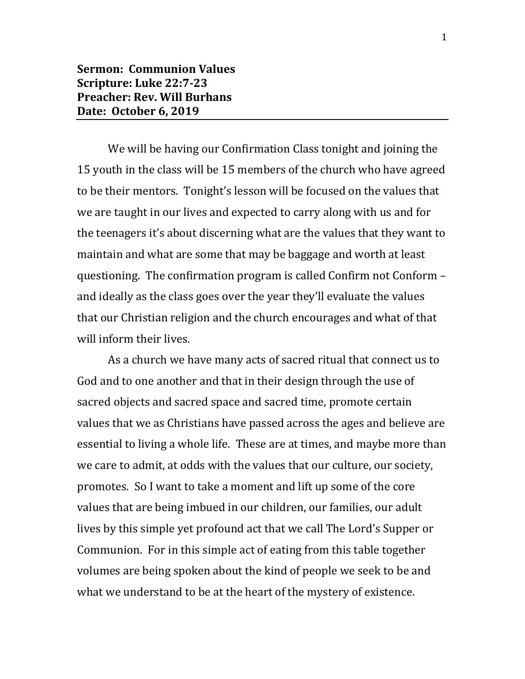We will be having our Confirmation Class tonight and joining the 15 youth in the class will be 15 members of the church who have agreed to be their mentors. Tonight's lesson will be focused on the values that we are taught in our lives and expected to carry along with us and for the teenagers it's about discerning what are the values that they want to maintain and what are some that may be baggage and worth at least questioning. The confirmation program is called Confirm not Conform – and ideally as the class goes over the year they'll evaluate the values that our Christian religion and the church encourages and what of that will inform their lives.

As a church we have many acts of sacred ritual that connect us to God and to one another and that in their design through the use of sacred objects and sacred space and sacred time, promote certain values that we as Christians have passed across the ages and believe are essential to living a whole life. These are at times, and maybe more than we care to admit, at odds with the values that our culture, our society, promotes. So I want to take a moment and lift up some of the core values that are being imbued in our children, our families, our adult lives by this simple yet profound act that we call The Lord's Supper or Communion. For in this simple act of eating from this table together volumes are being spoken about the kind of people we seek to be and what we understand to be at the heart of the mystery of existence.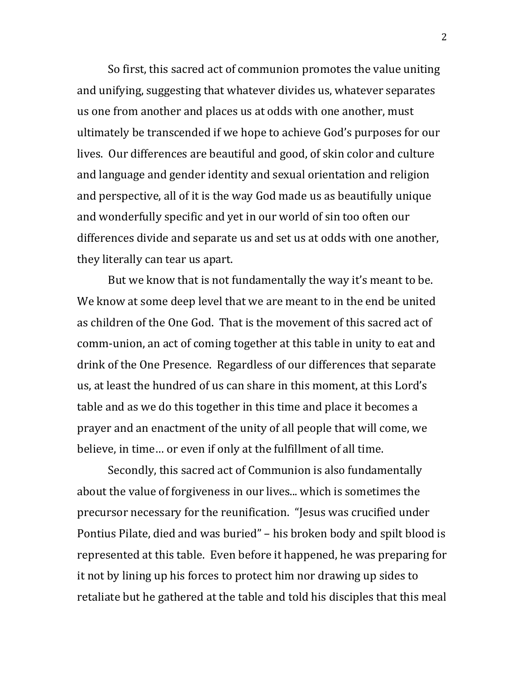So first, this sacred act of communion promotes the value uniting and unifying, suggesting that whatever divides us, whatever separates us one from another and places us at odds with one another, must ultimately be transcended if we hope to achieve God's purposes for our lives. Our differences are beautiful and good, of skin color and culture and language and gender identity and sexual orientation and religion and perspective, all of it is the way God made us as beautifully unique and wonderfully specific and yet in our world of sin too often our differences divide and separate us and set us at odds with one another, they literally can tear us apart.

But we know that is not fundamentally the way it's meant to be. We know at some deep level that we are meant to in the end be united as children of the One God. That is the movement of this sacred act of comm-union, an act of coming together at this table in unity to eat and drink of the One Presence. Regardless of our differences that separate us, at least the hundred of us can share in this moment, at this Lord's table and as we do this together in this time and place it becomes a prayer and an enactment of the unity of all people that will come, we believe, in time… or even if only at the fulfillment of all time.

Secondly, this sacred act of Communion is also fundamentally about the value of forgiveness in our lives... which is sometimes the precursor necessary for the reunification. "Jesus was crucified under Pontius Pilate, died and was buried" – his broken body and spilt blood is represented at this table. Even before it happened, he was preparing for it not by lining up his forces to protect him nor drawing up sides to retaliate but he gathered at the table and told his disciples that this meal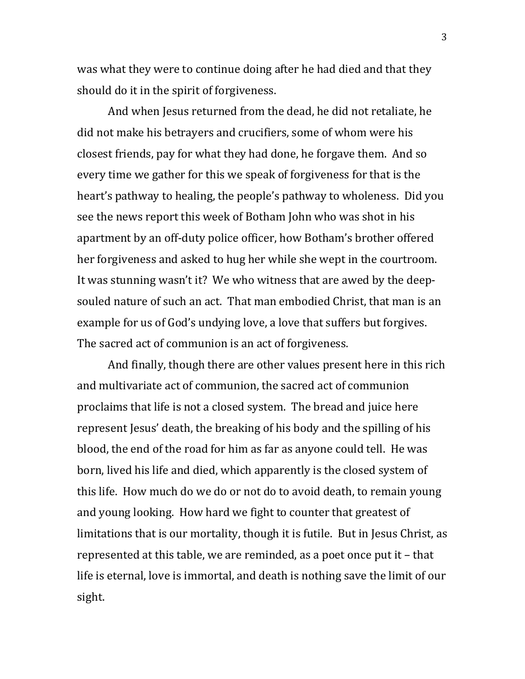was what they were to continue doing after he had died and that they should do it in the spirit of forgiveness.

And when Jesus returned from the dead, he did not retaliate, he did not make his betrayers and crucifiers, some of whom were his closest friends, pay for what they had done, he forgave them. And so every time we gather for this we speak of forgiveness for that is the heart's pathway to healing, the people's pathway to wholeness. Did you see the news report this week of Botham John who was shot in his apartment by an off-duty police officer, how Botham's brother offered her forgiveness and asked to hug her while she wept in the courtroom. It was stunning wasn't it? We who witness that are awed by the deepsouled nature of such an act. That man embodied Christ, that man is an example for us of God's undying love, a love that suffers but forgives. The sacred act of communion is an act of forgiveness.

And finally, though there are other values present here in this rich and multivariate act of communion, the sacred act of communion proclaims that life is not a closed system. The bread and juice here represent Jesus' death, the breaking of his body and the spilling of his blood, the end of the road for him as far as anyone could tell. He was born, lived his life and died, which apparently is the closed system of this life. How much do we do or not do to avoid death, to remain young and young looking. How hard we fight to counter that greatest of limitations that is our mortality, though it is futile. But in Jesus Christ, as represented at this table, we are reminded, as a poet once put it – that life is eternal, love is immortal, and death is nothing save the limit of our sight.